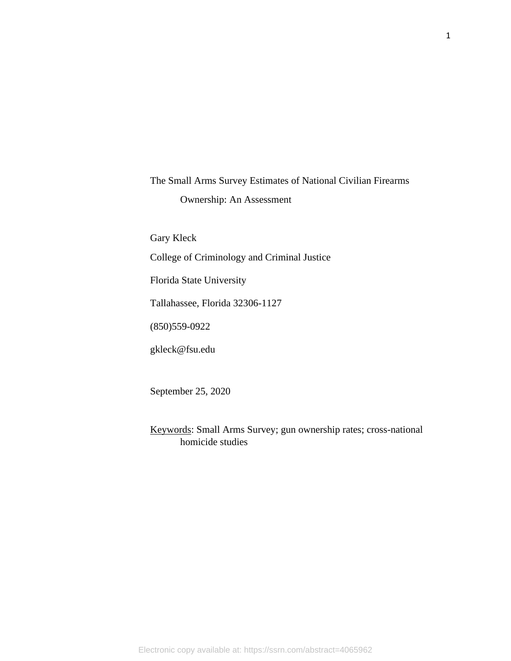The Small Arms Survey Estimates of National Civilian Firearms Ownership: An Assessment

Gary Kleck College of Criminology and Criminal Justice Florida State University Tallahassee, Florida 32306-1127 (850)559-0922

gkleck@fsu.edu

September 25, 2020

Keywords: Small Arms Survey; gun ownership rates; cross-national homicide studies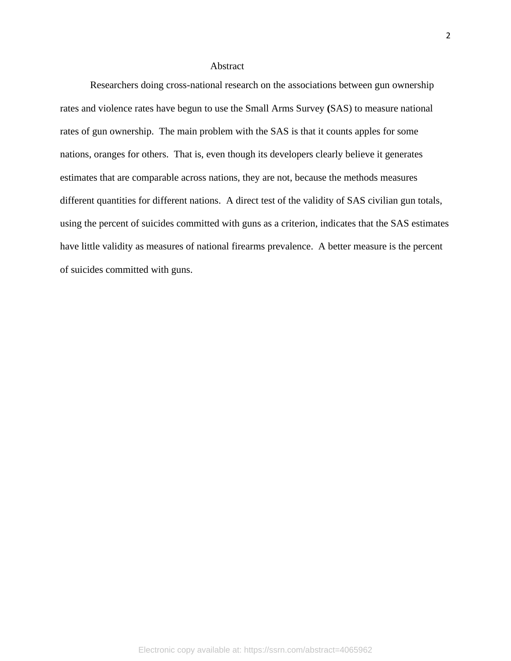## Abstract

Researchers doing cross-national research on the associations between gun ownership rates and violence rates have begun to use the Small Arms Survey **(**SAS) to measure national rates of gun ownership. The main problem with the SAS is that it counts apples for some nations, oranges for others. That is, even though its developers clearly believe it generates estimates that are comparable across nations, they are not, because the methods measures different quantities for different nations. A direct test of the validity of SAS civilian gun totals, using the percent of suicides committed with guns as a criterion, indicates that the SAS estimates have little validity as measures of national firearms prevalence. A better measure is the percent of suicides committed with guns.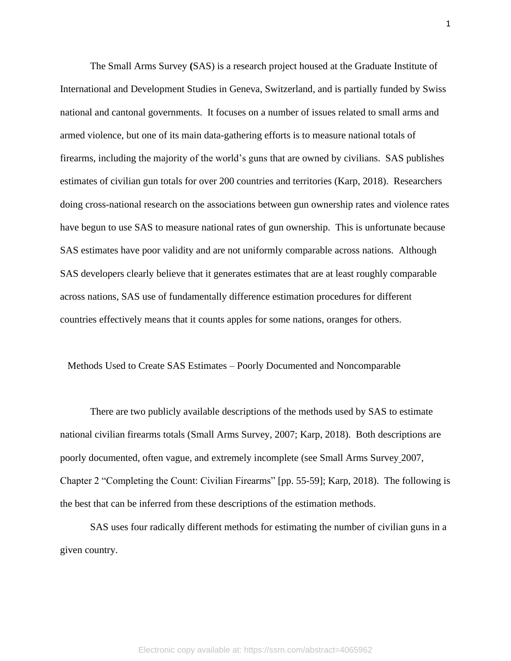The Small Arms Survey **(**SAS) is a research project housed at the Graduate Institute of International and Development Studies in Geneva, Switzerland, and is partially funded by Swiss national and cantonal governments. It focuses on a number of issues related to small arms and armed violence, but one of its main data-gathering efforts is to measure national totals of firearms, including the majority of the world's guns that are owned by civilians. SAS publishes estimates of civilian gun totals for over 200 countries and territories (Karp, 2018). Researchers doing cross-national research on the associations between gun ownership rates and violence rates have begun to use SAS to measure national rates of gun ownership. This is unfortunate because SAS estimates have poor validity and are not uniformly comparable across nations. Although SAS developers clearly believe that it generates estimates that are at least roughly comparable across nations, SAS use of fundamentally difference estimation procedures for different countries effectively means that it counts apples for some nations, oranges for others.

#### Methods Used to Create SAS Estimates – Poorly Documented and Noncomparable

There are two publicly available descriptions of the methods used by SAS to estimate national civilian firearms totals (Small Arms Survey, 2007; Karp, 2018). Both descriptions are poorly documented, often vague, and extremely incomplete (see Small Arms Survey 2007, Chapter 2 "Completing the Count: Civilian Firearms" [pp. 55-59]; Karp, 2018). The following is the best that can be inferred from these descriptions of the estimation methods.

SAS uses four radically different methods for estimating the number of civilian guns in a given country.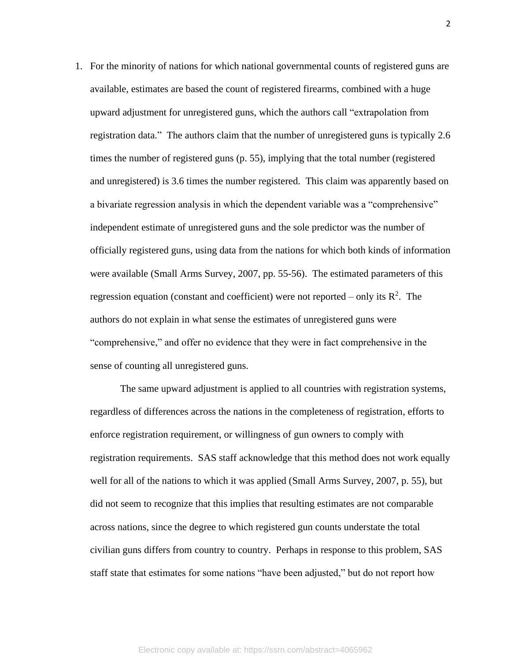1. For the minority of nations for which national governmental counts of registered guns are available, estimates are based the count of registered firearms, combined with a huge upward adjustment for unregistered guns, which the authors call "extrapolation from registration data." The authors claim that the number of unregistered guns is typically 2.6 times the number of registered guns (p. 55), implying that the total number (registered and unregistered) is 3.6 times the number registered. This claim was apparently based on a bivariate regression analysis in which the dependent variable was a "comprehensive" independent estimate of unregistered guns and the sole predictor was the number of officially registered guns, using data from the nations for which both kinds of information were available (Small Arms Survey, 2007, pp. 55-56). The estimated parameters of this regression equation (constant and coefficient) were not reported – only its  $\mathbb{R}^2$ . The authors do not explain in what sense the estimates of unregistered guns were "comprehensive," and offer no evidence that they were in fact comprehensive in the sense of counting all unregistered guns.

The same upward adjustment is applied to all countries with registration systems, regardless of differences across the nations in the completeness of registration, efforts to enforce registration requirement, or willingness of gun owners to comply with registration requirements. SAS staff acknowledge that this method does not work equally well for all of the nations to which it was applied (Small Arms Survey, 2007, p. 55), but did not seem to recognize that this implies that resulting estimates are not comparable across nations, since the degree to which registered gun counts understate the total civilian guns differs from country to country. Perhaps in response to this problem, SAS staff state that estimates for some nations "have been adjusted," but do not report how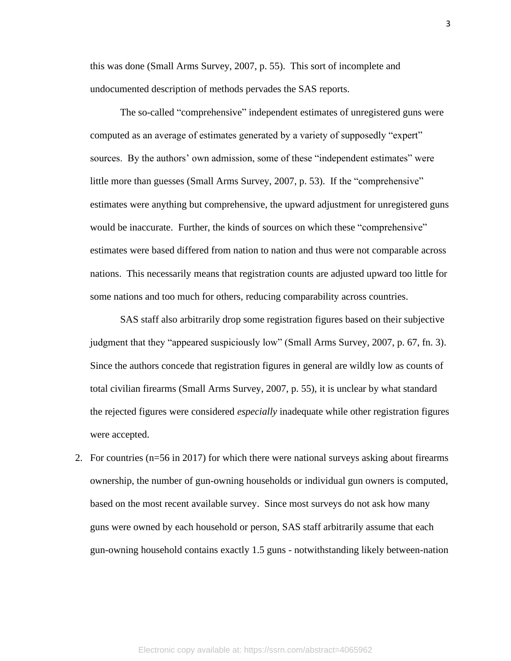this was done (Small Arms Survey, 2007, p. 55). This sort of incomplete and undocumented description of methods pervades the SAS reports.

The so-called "comprehensive" independent estimates of unregistered guns were computed as an average of estimates generated by a variety of supposedly "expert" sources. By the authors' own admission, some of these "independent estimates" were little more than guesses (Small Arms Survey, 2007, p. 53). If the "comprehensive" estimates were anything but comprehensive, the upward adjustment for unregistered guns would be inaccurate. Further, the kinds of sources on which these "comprehensive" estimates were based differed from nation to nation and thus were not comparable across nations. This necessarily means that registration counts are adjusted upward too little for some nations and too much for others, reducing comparability across countries.

SAS staff also arbitrarily drop some registration figures based on their subjective judgment that they "appeared suspiciously low" (Small Arms Survey, 2007, p. 67, fn. 3). Since the authors concede that registration figures in general are wildly low as counts of total civilian firearms (Small Arms Survey, 2007, p. 55), it is unclear by what standard the rejected figures were considered *especially* inadequate while other registration figures were accepted.

2. For countries (n=56 in 2017) for which there were national surveys asking about firearms ownership, the number of gun-owning households or individual gun owners is computed, based on the most recent available survey. Since most surveys do not ask how many guns were owned by each household or person, SAS staff arbitrarily assume that each gun-owning household contains exactly 1.5 guns - notwithstanding likely between-nation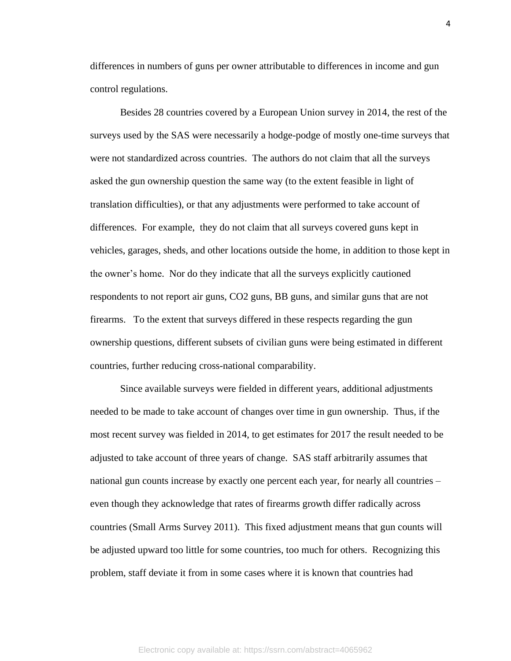differences in numbers of guns per owner attributable to differences in income and gun control regulations.

Besides 28 countries covered by a European Union survey in 2014, the rest of the surveys used by the SAS were necessarily a hodge-podge of mostly one-time surveys that were not standardized across countries. The authors do not claim that all the surveys asked the gun ownership question the same way (to the extent feasible in light of translation difficulties), or that any adjustments were performed to take account of differences. For example, they do not claim that all surveys covered guns kept in vehicles, garages, sheds, and other locations outside the home, in addition to those kept in the owner's home. Nor do they indicate that all the surveys explicitly cautioned respondents to not report air guns, CO2 guns, BB guns, and similar guns that are not firearms. To the extent that surveys differed in these respects regarding the gun ownership questions, different subsets of civilian guns were being estimated in different countries, further reducing cross-national comparability.

Since available surveys were fielded in different years, additional adjustments needed to be made to take account of changes over time in gun ownership. Thus, if the most recent survey was fielded in 2014, to get estimates for 2017 the result needed to be adjusted to take account of three years of change. SAS staff arbitrarily assumes that national gun counts increase by exactly one percent each year, for nearly all countries – even though they acknowledge that rates of firearms growth differ radically across countries (Small Arms Survey 2011). This fixed adjustment means that gun counts will be adjusted upward too little for some countries, too much for others. Recognizing this problem, staff deviate it from in some cases where it is known that countries had

4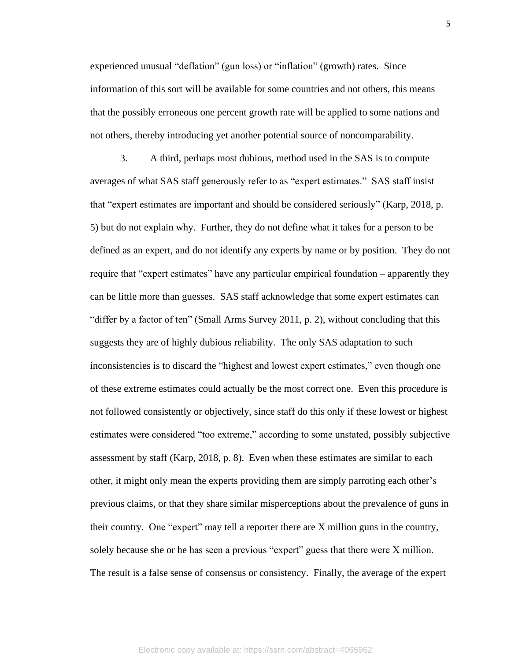experienced unusual "deflation" (gun loss) or "inflation" (growth) rates. Since information of this sort will be available for some countries and not others, this means that the possibly erroneous one percent growth rate will be applied to some nations and not others, thereby introducing yet another potential source of noncomparability.

3. A third, perhaps most dubious, method used in the SAS is to compute averages of what SAS staff generously refer to as "expert estimates." SAS staff insist that "expert estimates are important and should be considered seriously" (Karp, 2018, p. 5) but do not explain why. Further, they do not define what it takes for a person to be defined as an expert, and do not identify any experts by name or by position. They do not require that "expert estimates" have any particular empirical foundation – apparently they can be little more than guesses. SAS staff acknowledge that some expert estimates can "differ by a factor of ten" (Small Arms Survey 2011, p. 2), without concluding that this suggests they are of highly dubious reliability. The only SAS adaptation to such inconsistencies is to discard the "highest and lowest expert estimates," even though one of these extreme estimates could actually be the most correct one. Even this procedure is not followed consistently or objectively, since staff do this only if these lowest or highest estimates were considered "too extreme," according to some unstated, possibly subjective assessment by staff (Karp, 2018, p. 8). Even when these estimates are similar to each other, it might only mean the experts providing them are simply parroting each other's previous claims, or that they share similar misperceptions about the prevalence of guns in their country. One "expert" may tell a reporter there are X million guns in the country, solely because she or he has seen a previous "expert" guess that there were X million. The result is a false sense of consensus or consistency. Finally, the average of the expert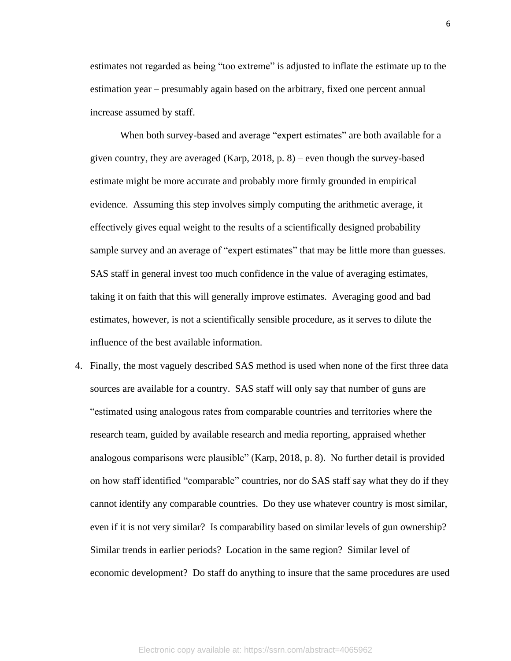estimates not regarded as being "too extreme" is adjusted to inflate the estimate up to the estimation year – presumably again based on the arbitrary, fixed one percent annual increase assumed by staff.

When both survey-based and average "expert estimates" are both available for a given country, they are averaged (Karp, 2018, p. 8) – even though the survey-based estimate might be more accurate and probably more firmly grounded in empirical evidence. Assuming this step involves simply computing the arithmetic average, it effectively gives equal weight to the results of a scientifically designed probability sample survey and an average of "expert estimates" that may be little more than guesses. SAS staff in general invest too much confidence in the value of averaging estimates, taking it on faith that this will generally improve estimates. Averaging good and bad estimates, however, is not a scientifically sensible procedure, as it serves to dilute the influence of the best available information.

4. Finally, the most vaguely described SAS method is used when none of the first three data sources are available for a country. SAS staff will only say that number of guns are "estimated using analogous rates from comparable countries and territories where the research team, guided by available research and media reporting, appraised whether analogous comparisons were plausible" (Karp, 2018, p. 8). No further detail is provided on how staff identified "comparable" countries, nor do SAS staff say what they do if they cannot identify any comparable countries. Do they use whatever country is most similar, even if it is not very similar? Is comparability based on similar levels of gun ownership? Similar trends in earlier periods? Location in the same region? Similar level of economic development? Do staff do anything to insure that the same procedures are used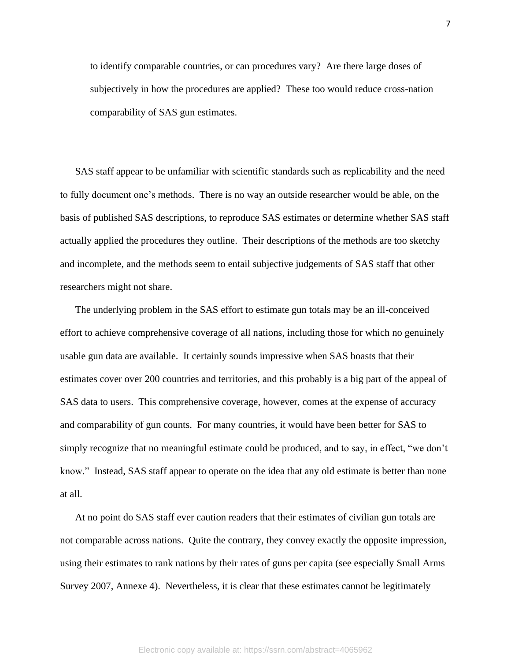to identify comparable countries, or can procedures vary? Are there large doses of subjectively in how the procedures are applied? These too would reduce cross-nation comparability of SAS gun estimates.

SAS staff appear to be unfamiliar with scientific standards such as replicability and the need to fully document one's methods. There is no way an outside researcher would be able, on the basis of published SAS descriptions, to reproduce SAS estimates or determine whether SAS staff actually applied the procedures they outline. Their descriptions of the methods are too sketchy and incomplete, and the methods seem to entail subjective judgements of SAS staff that other researchers might not share.

The underlying problem in the SAS effort to estimate gun totals may be an ill-conceived effort to achieve comprehensive coverage of all nations, including those for which no genuinely usable gun data are available. It certainly sounds impressive when SAS boasts that their estimates cover over 200 countries and territories, and this probably is a big part of the appeal of SAS data to users. This comprehensive coverage, however, comes at the expense of accuracy and comparability of gun counts. For many countries, it would have been better for SAS to simply recognize that no meaningful estimate could be produced, and to say, in effect, "we don't know." Instead, SAS staff appear to operate on the idea that any old estimate is better than none at all.

At no point do SAS staff ever caution readers that their estimates of civilian gun totals are not comparable across nations. Quite the contrary, they convey exactly the opposite impression, using their estimates to rank nations by their rates of guns per capita (see especially Small Arms Survey 2007, Annexe 4). Nevertheless, it is clear that these estimates cannot be legitimately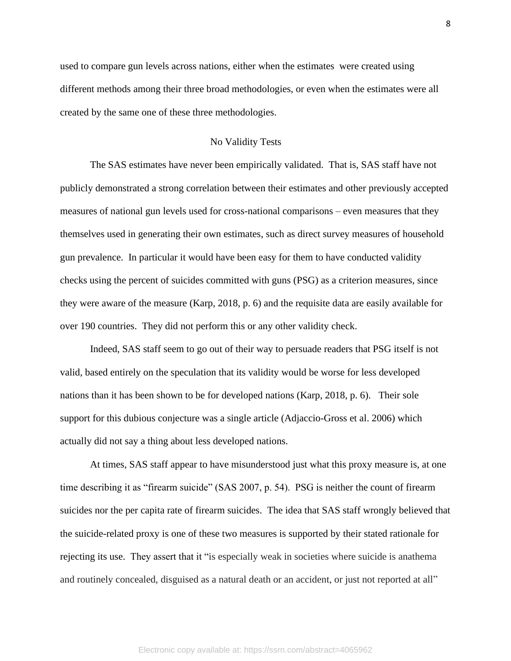used to compare gun levels across nations, either when the estimates were created using different methods among their three broad methodologies, or even when the estimates were all created by the same one of these three methodologies.

# No Validity Tests

The SAS estimates have never been empirically validated. That is, SAS staff have not publicly demonstrated a strong correlation between their estimates and other previously accepted measures of national gun levels used for cross-national comparisons – even measures that they themselves used in generating their own estimates, such as direct survey measures of household gun prevalence. In particular it would have been easy for them to have conducted validity checks using the percent of suicides committed with guns (PSG) as a criterion measures, since they were aware of the measure (Karp, 2018, p. 6) and the requisite data are easily available for over 190 countries. They did not perform this or any other validity check.

Indeed, SAS staff seem to go out of their way to persuade readers that PSG itself is not valid, based entirely on the speculation that its validity would be worse for less developed nations than it has been shown to be for developed nations (Karp, 2018, p. 6). Their sole support for this dubious conjecture was a single article (Adjaccio-Gross et al. 2006) which actually did not say a thing about less developed nations.

At times, SAS staff appear to have misunderstood just what this proxy measure is, at one time describing it as "firearm suicide" (SAS 2007, p. 54). PSG is neither the count of firearm suicides nor the per capita rate of firearm suicides. The idea that SAS staff wrongly believed that the suicide-related proxy is one of these two measures is supported by their stated rationale for rejecting its use. They assert that it "is especially weak in societies where suicide is anathema and routinely concealed, disguised as a natural death or an accident, or just not reported at all"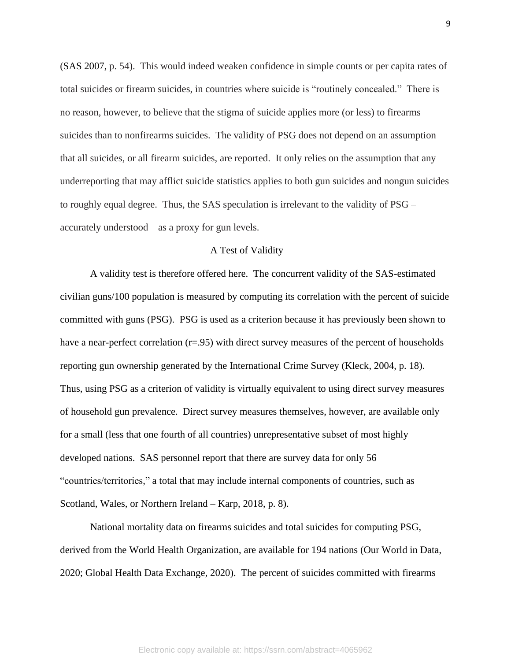(SAS 2007, p. 54). This would indeed weaken confidence in simple counts or per capita rates of total suicides or firearm suicides, in countries where suicide is "routinely concealed." There is no reason, however, to believe that the stigma of suicide applies more (or less) to firearms suicides than to nonfirearms suicides. The validity of PSG does not depend on an assumption that all suicides, or all firearm suicides, are reported. It only relies on the assumption that any underreporting that may afflict suicide statistics applies to both gun suicides and nongun suicides to roughly equal degree. Thus, the SAS speculation is irrelevant to the validity of PSG – accurately understood – as a proxy for gun levels.

## A Test of Validity

A validity test is therefore offered here. The concurrent validity of the SAS-estimated civilian guns/100 population is measured by computing its correlation with the percent of suicide committed with guns (PSG). PSG is used as a criterion because it has previously been shown to have a near-perfect correlation (r=.95) with direct survey measures of the percent of households reporting gun ownership generated by the International Crime Survey (Kleck, 2004, p. 18). Thus, using PSG as a criterion of validity is virtually equivalent to using direct survey measures of household gun prevalence. Direct survey measures themselves, however, are available only for a small (less that one fourth of all countries) unrepresentative subset of most highly developed nations. SAS personnel report that there are survey data for only 56 "countries/territories," a total that may include internal components of countries, such as Scotland, Wales, or Northern Ireland – Karp, 2018, p. 8).

National mortality data on firearms suicides and total suicides for computing PSG, derived from the World Health Organization, are available for 194 nations (Our World in Data, 2020; Global Health Data Exchange, 2020). The percent of suicides committed with firearms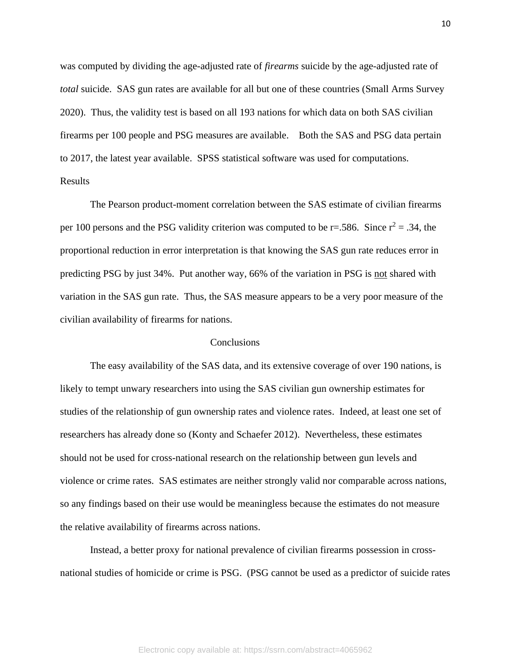was computed by dividing the age-adjusted rate of *firearms* suicide by the age-adjusted rate of *total* suicide. SAS gun rates are available for all but one of these countries (Small Arms Survey 2020). Thus, the validity test is based on all 193 nations for which data on both SAS civilian firearms per 100 people and PSG measures are available. Both the SAS and PSG data pertain to 2017, the latest year available. SPSS statistical software was used for computations. Results

The Pearson product-moment correlation between the SAS estimate of civilian firearms per 100 persons and the PSG validity criterion was computed to be r=.586. Since  $r^2$  = .34, the proportional reduction in error interpretation is that knowing the SAS gun rate reduces error in predicting PSG by just 34%. Put another way, 66% of the variation in PSG is not shared with variation in the SAS gun rate. Thus, the SAS measure appears to be a very poor measure of the civilian availability of firearms for nations.

## **Conclusions**

The easy availability of the SAS data, and its extensive coverage of over 190 nations, is likely to tempt unwary researchers into using the SAS civilian gun ownership estimates for studies of the relationship of gun ownership rates and violence rates. Indeed, at least one set of researchers has already done so (Konty and Schaefer 2012). Nevertheless, these estimates should not be used for cross-national research on the relationship between gun levels and violence or crime rates. SAS estimates are neither strongly valid nor comparable across nations, so any findings based on their use would be meaningless because the estimates do not measure the relative availability of firearms across nations.

Instead, a better proxy for national prevalence of civilian firearms possession in crossnational studies of homicide or crime is PSG. (PSG cannot be used as a predictor of suicide rates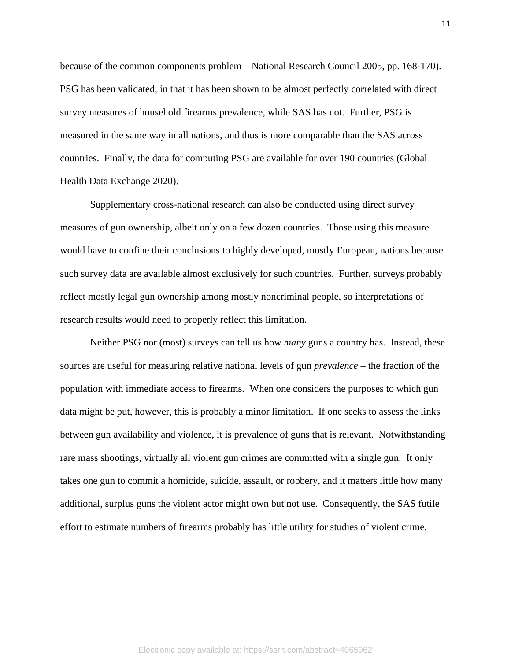because of the common components problem – National Research Council 2005, pp. 168-170). PSG has been validated, in that it has been shown to be almost perfectly correlated with direct survey measures of household firearms prevalence, while SAS has not. Further, PSG is measured in the same way in all nations, and thus is more comparable than the SAS across countries. Finally, the data for computing PSG are available for over 190 countries (Global Health Data Exchange 2020).

Supplementary cross-national research can also be conducted using direct survey measures of gun ownership, albeit only on a few dozen countries. Those using this measure would have to confine their conclusions to highly developed, mostly European, nations because such survey data are available almost exclusively for such countries. Further, surveys probably reflect mostly legal gun ownership among mostly noncriminal people, so interpretations of research results would need to properly reflect this limitation.

Neither PSG nor (most) surveys can tell us how *many* guns a country has. Instead, these sources are useful for measuring relative national levels of gun *prevalence* – the fraction of the population with immediate access to firearms. When one considers the purposes to which gun data might be put, however, this is probably a minor limitation. If one seeks to assess the links between gun availability and violence, it is prevalence of guns that is relevant. Notwithstanding rare mass shootings, virtually all violent gun crimes are committed with a single gun. It only takes one gun to commit a homicide, suicide, assault, or robbery, and it matters little how many additional, surplus guns the violent actor might own but not use. Consequently, the SAS futile effort to estimate numbers of firearms probably has little utility for studies of violent crime.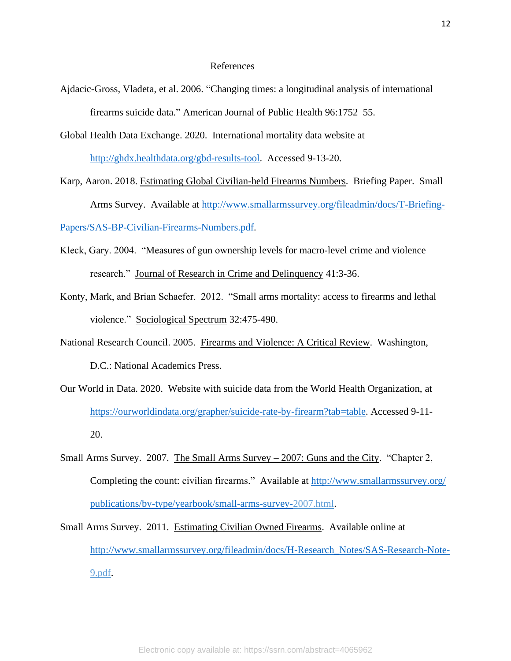### References

- Ajdacic-Gross, Vladeta, et al. 2006. "Changing times: a longitudinal analysis of international firearms suicide data." American Journal of Public Health 96:1752–55.
- Global Health Data Exchange. 2020. International mortality data website at [http://ghdx.healthdata.org/gbd-results-tool.](http://ghdx.healthdata.org/gbd-results-tool) Accessed 9-13-20.
- Karp, Aaron. 2018. Estimating Global Civilian-held Firearms Numbers. Briefing Paper. Small Arms Survey. Available at [http://www.smallarmssurvey.org/fileadmin/docs/T-Briefing-](http://www.smallarmssurvey.org/fileadmin/docs/T-Briefing-Papers/SAS-BP-Civilian-Firearms-Numbers.pdf)[Papers/SAS-BP-Civilian-Firearms-Numbers.pdf.](http://www.smallarmssurvey.org/fileadmin/docs/T-Briefing-Papers/SAS-BP-Civilian-Firearms-Numbers.pdf)
- Kleck, Gary. 2004. "Measures of gun ownership levels for macro-level crime and violence research." Journal of Research in Crime and Delinquency 41:3-36.
- Konty, Mark, and Brian Schaefer. 2012. "Small arms mortality: access to firearms and lethal violence." Sociological Spectrum 32:475-490.
- National Research Council. 2005. Firearms and Violence: A Critical Review. Washington, D.C.: National Academics Press.
- Our World in Data. 2020. Website with suicide data from the World Health Organization, at [https://ourworldindata.org/grapher/suicide-rate-by-firearm?tab=table.](https://ourworldindata.org/grapher/suicide-rate-by-firearm?tab=table) Accessed 9-11- 20.
- Small Arms Survey. 2007. The Small Arms Survey 2007: Guns and the City. "Chapter 2, Completing the count: civilian firearms." Available at http://www.smallarmssurvey.org/ [publications/by-type/yearbook/small-arms-survey-2](http://www.smallarmssurvey.org/%20publications/by-type/yearbook/small-arms-survey-)007.html.
- Small Arms Survey. 2011. Estimating Civilian Owned Firearms. Available online at [http://www.smallarmssurvey.org/fileadmin/docs/H-Research\\_Notes/SAS-Research-Note-](http://www.smallarmssurvey.org/fileadmin/docs/H-Research_Notes/SAS-Research-Note-)9.pdf.